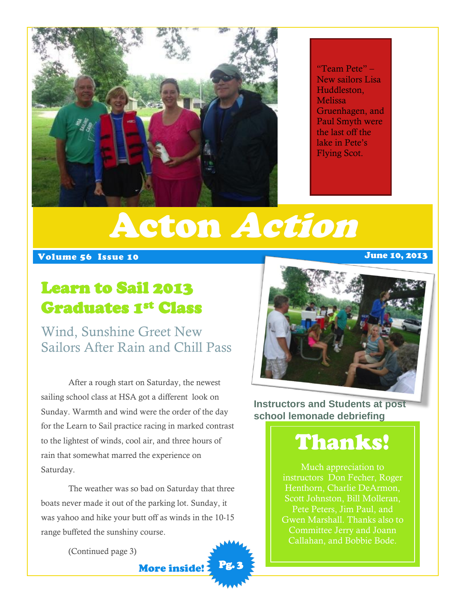

"Team Pete" – New sailors Lisa Huddleston, **Melissa** Gruenhagen, and Paul Smyth were the last off the lake in Pete's Flying Scot.

# Acton Action

#### Volume 56 Issue 10 June 10, 2013

### Learn to Sail 2013 Graduates 1st Class

Wind, Sunshine Greet New Sailors After Rain and Chill Pass

After a rough start on Saturday, the newest sailing school class at HSA got a different look on Sunday. Warmth and wind were the order of the day for the Learn to Sail practice racing in marked contrast to the lightest of winds, cool air, and three hours of rain that somewhat marred the experience on Saturday.

The weather was so bad on Saturday that three boats never made it out of the parking lot. Sunday, it was yahoo and hike your butt off as winds in the 10-15 range buffeted the sunshiny course.

More inside!

Pg. 3

(Continued page 3)

#### **Instructors and Students at post school lemonade debriefing**

## Thanks!

Much appreciation to instructors Don Fecher, Roger Henthorn, Charlie DeArmon, Scott Johnston, Bill Molleran, Pete Peters, Jim Paul, and Gwen Marshall. Thanks also to Committee Jerry and Joann Callahan, and Bobbie Bode.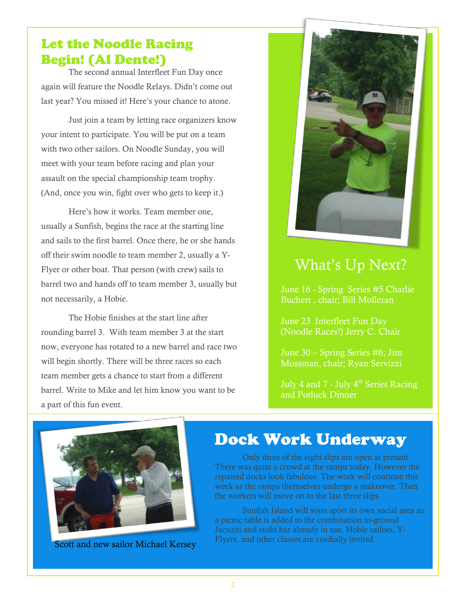#### Let the Noodle Racing Begin! (Al Dente!)

The second annual Interfleet Fun Day once again will feature the Noodle Relays. Didn't come out last year? You missed it! Here's your chance to atone.

Just join a team by letting race organizers know your intent to participate. You will be put on a team with two other sailors. On Noodle Sunday, you will meet with your team before racing and plan your assault on the special championship team trophy. (And, once you win, fight over who gets to keep it.)

Here's how it works. Team member one, usually a Sunfish, begins the race at the starting line and sails to the first barrel. Once there, he or she hands off their swim noodle to team member 2, usually a Y-Flyer or other boat. That person (with crew) sails to barrel two and hands off to team member 3, usually but not necessarily, a Hobie.

The Hobie finishes at the start line after rounding barrel 3. With team member 3 at the start now, everyone has rotated to a new barrel and race two will begin shortly. There will be three races so each team member gets a chance to start from a different barrel. Write to Mike and let him know you want to be a part of this fun event.



### What's Up Next?

June 16 - Spring Series #5 Charlie Buchert , chair; Bill Molleran

June 23 Interfleet Fun Day (Noodle Races!) Jerry C. Chair

June 30 – Spring Series #6; Jim Mossman, chair; Ryan Servizzi

July 4 and 7 - July  $4<sup>th</sup>$  Series Racing and Potluck Dinner



### Dock Work Underway

Only three of the eight slips are open at present. There was quite a crowd at the ramps today. However the repaired docks look fabulous. The work will continue this week as the ramps themselves undergo a makeover. Then the workers will move on to the last three slips.

Sunfish Island will soon sport its own social area as a picnic table is added to the combination in-ground Jacuzzi and sushi bar already in use. Hobie sailors, Y-Flyers, and other classes are cordially invited. Scott and new sailor Michael Kersey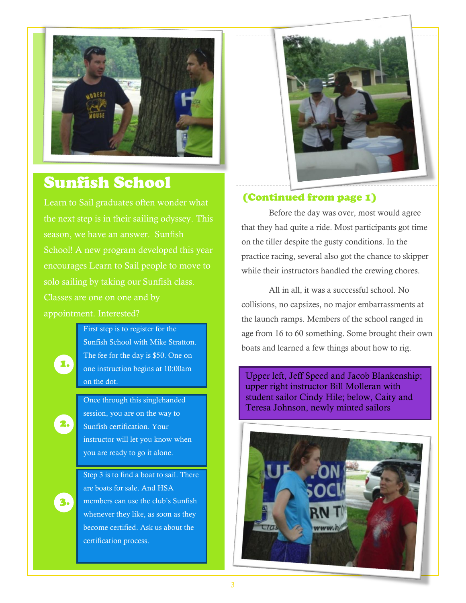

#### Sunfish School

Learn to Sail graduates often wonder what the next step is in their sailing odyssey. This season, we have an answer. Sunfish School! A new program developed this year encourages Learn to Sail people to move to solo sailing by taking our Sunfish class. appointment. Interested?

> First step is to register for the Sunfish School with Mike Stratton. The fee for the day is \$50. One on one instruction begins at 10:00am on the dot.

1.

2.

3.

Once through this singlehanded session, you are on the way to Sunfish certification. Your instructor will let you know when you are ready to go it alone.

Step 3 is to find a boat to sail. There are boats for sale. And HSA members can use the club's Sunfish whenever they like, as soon as they become certified. Ask us about the certification process.



#### (Continued from page 1)

Before the day was over, most would agree that they had quite a ride. Most participants got time on the tiller despite the gusty conditions. In the practice racing, several also got the chance to skipper while their instructors handled the crewing chores.

All in all, it was a successful school. No collisions, no capsizes, no major embarrassments at the launch ramps. Members of the school ranged in age from 16 to 60 something. Some brought their own boats and learned a few things about how to rig.

Upper left, Jeff Speed and Jacob Blankenship; upper right instructor Bill Molleran with student sailor Cindy Hile; below, Caity and Teresa Johnson, newly minted sailors